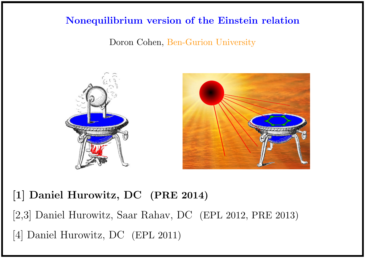## Nonequilibrium version of the Einstein relation

Doron Cohen, Ben-Gurion University



# [1] Daniel Hurowitz, DC (PRE 2014)

[2,3] Daniel Hurowitz, Saar Rahav, DC (EPL 2012, PRE 2013) [4] Daniel Hurowitz, DC (EPL 2011)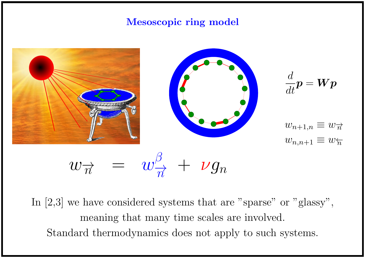## Mesoscopic ring model



In [2,3] we have considered systems that are "sparse" or "glassy", meaning that many time scales are involved. Standard thermodynamics does not apply to such systems.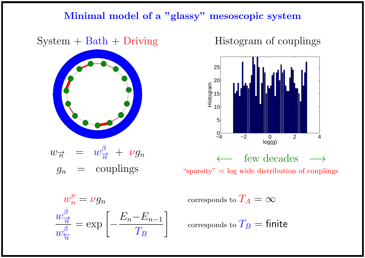### Minimal model of a "glassy" mesoscopic system

## $System + Bath + Driving$



$$
w_{\overrightarrow{n}} = w_{\overrightarrow{n}}^{\beta} + \nu g_n
$$
  

$$
g_n = \text{couplings}
$$

Histogram of couplings



 $w_n^{\nu}$  $\overline{n}$  $w_{\tau}^{\beta}$  $\overrightarrow{n}$  $w_{\tau}^{\beta}$  $\overleftarrow{n}$  $=$  exp  $\Big[-\Big]$  $E_n-E_{n-1}$  $T_B\,$  $\overline{\phantom{a}}$ 

corresponds to  $T_A = \infty$ 

corresponds to  $T_B =$  finite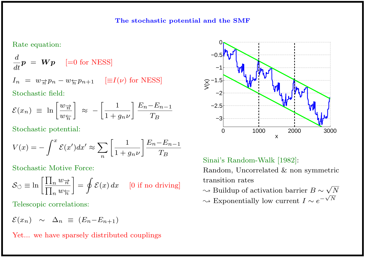#### Rate equation:

$$
\frac{d}{dt}\bm{p} = \bm{W}\bm{p} \quad \text{[=0 for NESS]}
$$

$$
I_n = w_{\overrightarrow{n}} p_n - w_{\overleftarrow{n}} p_{n+1} \quad [\equiv I(\nu) \text{ for NESS}]
$$

Stochastic field:

$$
\mathcal{E}(x_n) \equiv \ln \left[ \frac{w_{\overrightarrow{n}}}{w_{\overleftarrow{n}}} \right] \approx - \left[ \frac{1}{1 + g_n \nu} \right] \frac{E_n - E_{n-1}}{T_B}
$$

Stochastic potential:

$$
V(x) = -\int^{x} \mathcal{E}(x')dx' \approx \sum_{n} \left[ \frac{1}{1 + g_n \nu} \right] \frac{E_n - E_{n-1}}{T_B}
$$

Stochastic Motive Force:

$$
\mathcal{S}_{\circlearrowleft} \equiv \ln \left[ \frac{\prod_n w_{\overrightarrow{n}}}{\prod_n w_{\overleftarrow{n}}} \right] = \oint \mathcal{E}(x) dx \quad [0 \text{ if no driving}]
$$

Telescopic correlations:

$$
\mathcal{E}(x_n) \sim \Delta_n \equiv (E_n - E_{n+1})
$$

Yet... we have sparsely distributed couplings



#### Sinai's Random-Walk [1982]:

Random, Uncorrelated & non symmetric transition rates √

 $\rightsquigarrow$  Buildup of activation barrier  $B \sim$  $\sqrt{N}$  $\rightsquigarrow$  Exponentially low current  $I \sim e^{-\sqrt{N}}$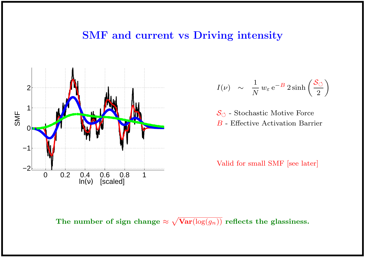## SMF and current vs Driving intensity



$$
I(\nu) \sim \frac{1}{N} w_{\varepsilon} e^{-B} 2 \sinh\left(\frac{S_{\circ}}{2}\right)
$$

 $S_{\circlearrowleft}$  - Stochastic Motive Force B - Effective Activation Barrier

Valid for small SMF [see later]

The number of sign change  $\approx \sqrt{\text{Var}(\log(g_n))}$  reflects the glassiness.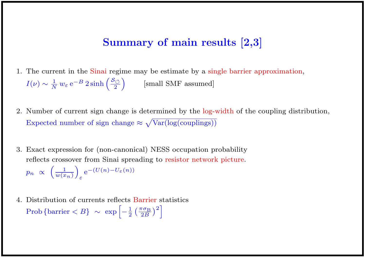## Summary of main results [2,3]

- 1. The current in the Sinai regime may be estimate by a single barrier approximation,  $I(\nu) \sim \frac{1}{N} \: w_{\varepsilon} \: \mathrm{e}^{-B} \: 2 \sinh \left( \frac{\mathcal{S}_{\circlearrowleft}}{2} \right)$ 2  $\setminus$ [small SMF assumed]
- 2. Number of current sign change is determined by the log-width of the coupling distribution, Expected number of sign change  $\approx \sqrt{\text{Var}(\log(\text{couplings}))}$
- 3. Exact expression for (non-canonical) NESS occupation probability reflects crossover from Sinai spreading to resistor network picture.  $p_n \propto \left(\frac{1}{w(x)}\right)$  $w(x_n)$  $\setminus$ ε  $e^{-(U(n)-U_{\varepsilon}(n))}$
- 4. Distribution of currents reflects Barrier statistics Prob {barrier  $\langle B \rangle \sim \exp \left[-\frac{1}{2} \left(\frac{\pi \sigma_B}{2B}\right)\right]$  $\left[\frac{\sigma_{\rm B}}{2B}\right)^2\right]$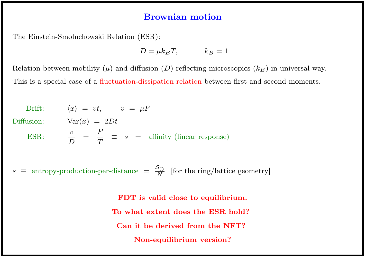### Brownian motion

The Einstein-Smoluchowski Relation (ESR):

 $D = \mu k_B T$ ,  $k_B = 1$ 

Relation between mobility  $(\mu)$  and diffusion  $(D)$  reflecting microscopics  $(k_B)$  in universal way. This is a special case of a fluctuation-dissipation relation between first and second moments.

Drift:  $\langle x \rangle = vt, \qquad v = \mu F$ Diffusion:  $Var(x) = 2Dt$ ESR:  $\frac{v}{F}$  $\boldsymbol{D}$ = F  $\overline{T}$  $\equiv s = \text{affinity (linear response)}$ 

 $s \equiv$  entropy-production-per-distance  $= \frac{S_{\circlearrowleft}}{N}$  $\frac{S_{\bigcirc}}{N}$  [for the ring/lattice geometry]

> FDT is valid close to equilibrium. To what extent does the ESR hold? Can it be derived from the NFT? Non-equilibrium version?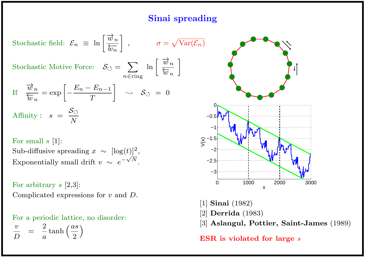## Sinai spreading

Stochastic field: 
$$
\mathcal{E}_n \equiv \ln \left[ \frac{\overrightarrow{w}_n}{\overleftarrow{w}_n} \right], \qquad \sigma = \sqrt{\text{Va}}
$$
  
Stochastic Motive Force:  $\mathcal{S}_{\circlearrowleft} = \sum_{n \in \text{ring}} \ln \left[ \frac{\overrightarrow{w}_n}{\overleftarrow{w}_n} \right] \right]$   
If  $\frac{\overrightarrow{w}_n}{\overleftarrow{w}_n} = \exp \left[ -\frac{E_n - E_{n-1}}{T} \right] \qquad \diamond \qquad \mathcal{S}_{\circlearrowleft} = 0$   
Affinity:  $s = \frac{\mathcal{S}_{\circlearrowleft}}{N}$ 

For small  $s$  [1]:

Sub-diffusive spreading  $x \sim [\log(t)]^2$ , Exponentially small drift  $v \sim e^{-\sqrt{N}}$ .

For arbitrary  $s$  [2,3]: Complicated expressions for v and D.

For a periodic lattice, no disorder:  $\overline{v}$  $\boldsymbol{D}$ = 2  $\overline{a}$  $\tanh\left(\frac{as}{2}\right)$ 2  $\setminus$ 



- [1] Sinai (1982)
- [2] Derrida (1983)
- [3] Aslangul, Pottier, Saint-James (1989)

ESR is violated for large  $s$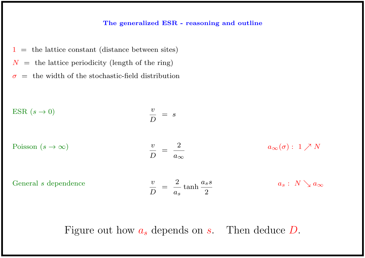#### The generalized ESR - reasoning and outline

 $1 =$  the lattice constant (distance between sites)  $N =$  the lattice periodicity (length of the ring)  $\sigma$  = the width of the stochastic-field distribution

ESR 
$$
(s \to 0)
$$

\n
$$
\frac{v}{D} = s
$$
\nPoisson  $(s \to \infty)$ 

\n
$$
\frac{v}{D} = \frac{2}{a_{\infty}}
$$
\nGeneral  $s$  dependence

\n
$$
\frac{v}{D} = \frac{2}{a_{s}} \tanh \frac{a_{s}s}{2}
$$
\n
$$
a_{s}: N \searrow a_{\infty}
$$

Figure out how  $a_s$  depends on  $s$ . Then deduce  $D$ .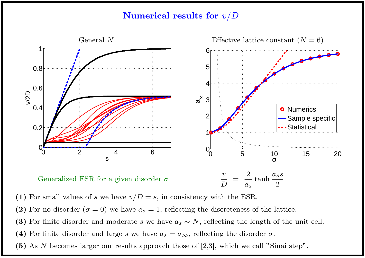### Numerical results for  $v/D$



(1) For small values of s we have  $v/D = s$ , in consistency with the ESR.

- (2) For no disorder ( $\sigma = 0$ ) we have  $a_s = 1$ , reflecting the discreteness of the lattice.
- (3) For finite disorder and moderate s we have  $a_s \sim N$ , reflecting the length of the unit cell.
- (4) For finite disorder and large s we have  $a_s = a_{\infty}$ , reflecting the disorder  $\sigma$ .
- (5) As N becomes larger our results approach those of [2,3], which we call "Sinai step".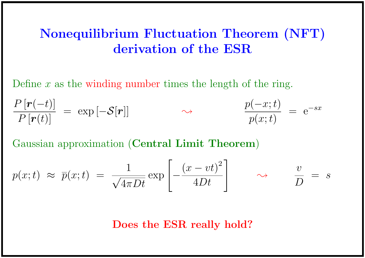# Nonequilibrium Fluctuation Theorem (NFT) derivation of the ESR

Define  $x$  as the winding number times the length of the ring.

$$
\frac{P\left[\boldsymbol{r}(-t)\right]}{P\left[\boldsymbol{r}(t)\right]} = \exp\left[-\mathcal{S}[\boldsymbol{r}]\right] \qquad \qquad \sim \qquad \qquad \frac{p(-x;t)}{p(x;t)} = e^{-sx}
$$

Gaussian approximation (Central Limit Theorem)

$$
p(x;t) \approx \overline{p}(x;t) = \frac{1}{\sqrt{4\pi Dt}} \exp\left[-\frac{(x-vt)^2}{4Dt}\right] \qquad \rightarrow \qquad \frac{v}{D} = s
$$

Does the ESR really hold?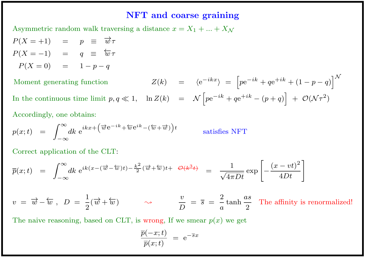#### NFT and coarse graining

Asymmetric random walk traversing a distance  $x = X_1 + ... + X_N$ 

 $P(X = +1)$  =  $p \equiv \vec{w} \tau$  $P(X = -1) = q \equiv \overleftarrow{w} \tau$  $P(X = 0) = 1 - p - q$ 

Moment generating function  $\begin{bmatrix} -ikx \end{bmatrix} = \begin{bmatrix} p e^{-ik} + q e^{+ik} + (1-p-q) \end{bmatrix}^{\mathcal{N}}$ In the continuous time limit  $p, q \ll 1$ ,  $\ln Z(k) = \mathcal{N} \left[ p e^{-ik} + q e^{+ik} - (p+q) \right] + \mathcal{O}(\mathcal{N} \tau^2)$ 

Accordingly, one obtains:

$$
p(x;t) = \int_{-\infty}^{\infty} dk \ e^{ikx + (\overrightarrow{w}e^{-ik} + \overleftarrow{w}e^{ik} - (\overleftarrow{w} + \overrightarrow{w}))t} \qquad \text{satisfies NFT}
$$

Correct application of the CLT:

$$
\overline{p}(x;t) = \int_{-\infty}^{\infty} dk \ e^{ik(x-(\overrightarrow{w}-\overleftarrow{w})t) - \frac{k^2}{2}(\overrightarrow{w}+\overleftarrow{w})t + \Theta(k^3t)} = \frac{1}{\sqrt{4\pi Dt}} \exp\left[-\frac{(x-vt)^2}{4Dt}\right]
$$

 $v = \overrightarrow{w} - \overleftarrow{w} \; , \; \; D \; = \; \frac{1}{2}$ 2  $(\overrightarrow{w} + \overleftarrow{w}) \qquad \rightarrow \qquad \frac{v}{\overrightarrow{p}}$  $\boldsymbol{D}$  $=$   $\overline{s}$   $=$ 2  $\overline{a}$ tanh as 2 The affinity is renormalized!

The naive reasoning, based on CLT, is wrong, If we smear  $p(x)$  we get

$$
\frac{\overline{p}(-x;t)}{\overline{p}(x;t)} \; = \; {\text {e}}^{-\overline{s}x}
$$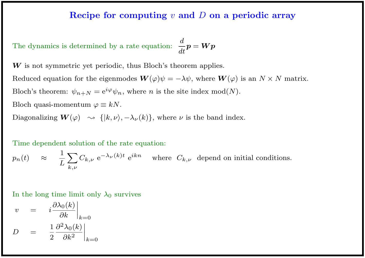### Recipe for computing  $v$  and  $D$  on a periodic array

The dynamics is determined by a rate equation:  $\boldsymbol{d}$ dt  $\bm{p}=\bm{W}\bm{p}$ 

W is not symmetric yet periodic, thus Bloch's theorem applies.

Reduced equation for the eigenmodes  $\mathbf{W}(\varphi)\psi = -\lambda\psi$ , where  $\mathbf{W}(\varphi)$  is an  $N \times N$  matrix. Bloch's theorem:  $\psi_{n+N} = e^{i\varphi} \psi_n$ , where *n* is the site index mod(*N*). Bloch quasi-momentum  $\varphi \equiv kN$ . Diagonalizing  $\mathbf{W}(\varphi) \rightsquigarrow \{ |k, \nu\rangle, -\lambda_{\nu}(k) \}$ , where  $\nu$  is the band index.

Time dependent solution of the rate equation:

$$
p_n(t) \approx \frac{1}{L} \sum_{k,\nu} C_{k,\nu} e^{-\lambda_{\nu}(k)t} e^{ikn}
$$
 where  $C_{k,\nu}$  depend on initial conditions.

In the long time limit only  $\lambda_0$  survives

$$
v = i \frac{\partial \lambda_0(k)}{\partial k} \Big|_{k=0}
$$
  

$$
D = \frac{1}{2} \frac{\partial^2 \lambda_0(k)}{\partial k^2} \Big|_{k=0}
$$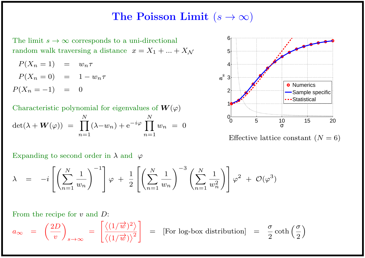## The Poisson Limit  $(s \to \infty)$

The limit  $s \to \infty$  corresponds to a uni-directional random walk traversing a distance  $x = X_1 + ... + X_N$ 

$$
P(X_n = 1) = w_n \tau
$$
  

$$
P(X_n = 0) = 1 - w_n \tau
$$
  

$$
P(X_n = -1) = 0
$$

Characteristic polynomial for eigenvalues of  $W(\varphi)$  $\det(\lambda + \boldsymbol{W}(\varphi)) = \prod$ N  $n=1$  $(\lambda-w_n)+e^{-i\varphi}\prod$ N  $n=1$  $w_n$  = 0

Expanding to second order in  $\lambda$  and  $\varphi$ 

$$
\lambda = -i \left[ \left( \sum_{n=1}^{N} \frac{1}{w_n} \right)^{-1} \right] \varphi + \frac{1}{2} \left[ \left( \sum_{n=1}^{N} \frac{1}{w_n} \right)^{-3} \left( \sum_{n=1}^{N} \frac{1}{w_n^2} \right) \right] \varphi^2 + \mathcal{O}(\varphi^3)
$$

From the recipe for v and D:

$$
a_{\infty} = \left(\frac{2D}{v}\right)_{s \to \infty} = \left[\frac{\left\langle (1/\overrightarrow{w})^2 \right\rangle}{\left\langle (1/\overrightarrow{w}) \right\rangle^2}\right] = [\text{For log-box distribution}] = \frac{\sigma}{2} \coth\left(\frac{\sigma}{2}\right)
$$



Effective lattice constant  $(N = 6)$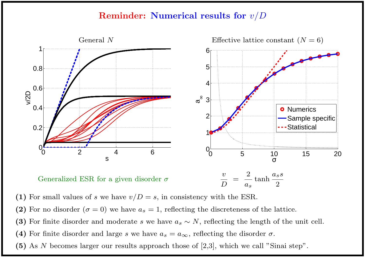### Reminder: Numerical results for v/D



(1) For small values of s we have  $v/D = s$ , in consistency with the ESR.

- (2) For no disorder ( $\sigma = 0$ ) we have  $a_s = 1$ , reflecting the discreteness of the lattice.
- (3) For finite disorder and moderate s we have  $a_s \sim N$ , reflecting the length of the unit cell.
- (4) For finite disorder and large s we have  $a_s = a_{\infty}$ , reflecting the disorder  $\sigma$ .
- (5) As N becomes larger our results approach those of [2,3], which we call "Sinai step".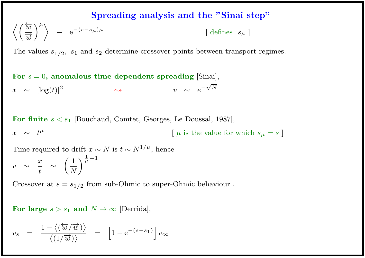### Spreading analysis and the "Sinai step"

$$
\left\langle \left(\frac{\overleftarrow{w}}{\overrightarrow{w}}\right)^{\mu}\right\rangle \equiv e^{-(s-s_{\mu})\mu} \qquad \qquad \text{[ defines } s_{\mu} \text{]}
$$

The values  $s_{1/2}$ ,  $s_1$  and  $s_2$  determine crossover points between transport regimes.

For  $s = 0$ , anomalous time dependent spreading [Sinai],  $x \sim \log(t)^2$  $\rightsquigarrow$  v  $\sim e^-$ √ N

For finite  $s < s_1$  [Bouchaud, Comtet, Georges, Le Doussal, 1987],  $x \sim t^{\mu}$  $\left[\mu$  is the value for which  $s_{\mu} = s\right]$ 

Time required to drift  $x \sim N$  is  $t \sim N^{1/\mu}$ , hence

$$
v \sim \frac{x}{t} \sim \left(\frac{1}{N}\right)^{\frac{1}{\mu}-1}
$$

Crossover at  $s = s_{1/2}$  from sub-Ohmic to super-Ohmic behaviour.

For large  $s > s_1$  and  $N \to \infty$  [Derrida],

$$
v_s = \frac{1 - \langle (\overleftarrow{w}/\overrightarrow{w}) \rangle}{\langle (1/\overrightarrow{w}) \rangle} = [1 - e^{-(s-s_1)}] v_{\infty}
$$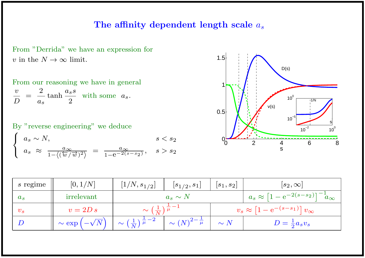### The affinity dependent length scale  $a_s$



From our reasoning we have in general  $\overline{v}$  $\boldsymbol{D}$ = 2  $a_s$ tanh  $a_s s$ 2 with some  $a_s$ .

By "reverse engineering" we deduce  $\int$  $\int$  $\overline{a}$  $a_s \sim N,$  s < s<sub>2</sub>  $a_s \approx \frac{a_{\infty}}{1 - \sqrt{(\frac{\lambda}{2}})}$  $\overline{1-\left\langle \left( \overleftarrow{w}/\overrightarrow{w}\right) ^{2}\right\rangle }$  $=\frac{a_{\infty}}{1-2\sqrt{s}}$  $\frac{a_{\infty}}{1 - e^{-2(s - s_2)}}, \quad s > s_2$ 



| s regime     | [0, 1/N]                            | $[1/N, s_{1/2}]$                                                     | $[s_{1/2}, s_1]$             | $ s_1, s_2 $                                          | $ s_2,\infty $                                      |
|--------------|-------------------------------------|----------------------------------------------------------------------|------------------------------|-------------------------------------------------------|-----------------------------------------------------|
| $a_s$        | irrelevant                          |                                                                      | $a_s \sim N$                 |                                                       | $a_s \approx [1 - e^{-2(s - s_2)}]^{-1} a_{\infty}$ |
| $v_{\bm{s}}$ | $v = 2D s$                          | $\sim \left(\frac{1}{N}\right)^{\frac{1}{\mu}-1}$                    |                              | $v_s \approx \left[1 - e^{-(s-s_1)}\right]v_{\infty}$ |                                                     |
|              | $\sim \exp\left(-\sqrt{N}\,\right)$ | $\frac{1}{\sqrt{2}} \sim \left(\frac{1}{N}\right)^{\frac{1}{\mu}-2}$ | $\sim (N)^{2-\frac{1}{\mu}}$ | $\sim N$                                              | $D=\frac{1}{2}a_s v_s$                              |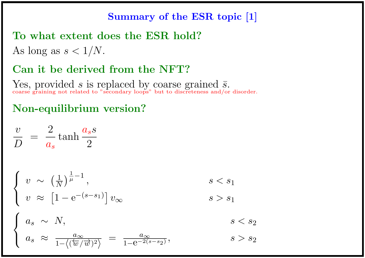## Summary of the ESR topic [1]

## To what extent does the ESR hold?

As long as  $s < 1/N$ .

## Can it be derived from the NFT?

Yes, provided s is replaced by coarse grained  $\bar{s}$ . coarse graining not related to "secondary loops" but to discreteness and/or disorder.

# Non-equilibrium version?

$$
\frac{v}{D} = \frac{2}{a_s} \tanh \frac{a_s s}{2}
$$

$$
\begin{cases} v \sim \left(\frac{1}{N}\right)^{\frac{1}{\mu}-1}, & s < s_1 \\ v \approx \left[1 - e^{-(s-s_1)}\right]v_{\infty} & s > s_1 \end{cases}
$$

$$
\int a_s \sim N, \qquad s < s_2
$$

$$
\left\{ a_s \approx \frac{a_{\infty}}{1 - \left\langle (\overleftarrow{w}/\overrightarrow{w})^2 \right\rangle} = \frac{a_{\infty}}{1 - e^{-2(s - s_2)}}, \qquad s > s_2 \right\}
$$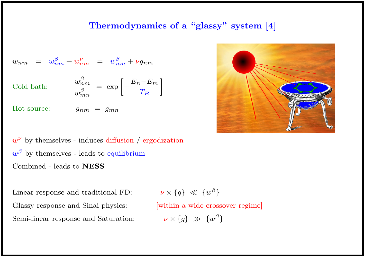### Thermodynamics of a "glassy" system [4]

$$
w_{nm} = w_{nm}^{\beta} + w_{nm}^{\nu} = w_{nm}^{\beta} + \nu g_{nm}
$$

Cold bath:

$$
\frac{w_{nm}^{\beta}}{w_{mn}^{\beta}} = \exp \left[ -\frac{E_n - E_m}{T_B} \right]
$$

Hot source:  $g_{nm} = g_{mn}$ 

 $w^{\nu}$  by themselves - induces diffusion / ergodization  $w^{\beta}$  by themselves - leads to equilibrium Combined - leads to NESS

Linear response and traditional FD: Glassy response and Sinai physics: [within a wide crossover regime] Semi-linear response and Saturation:

 $\nu \times \{g\} \ll \{w^{\beta}\}\$ 

 $\nu \times \{g\} \gg \{w^{\beta}\}\$